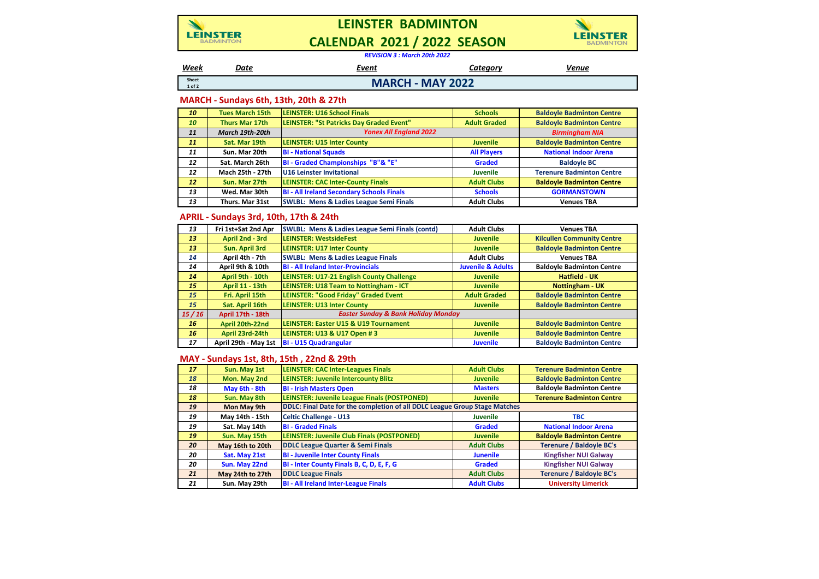

# **LEINSTER BADMINTON**

**CALENDAR 2021 / 2022 SEASON**



#### *REVISION 3 : March 20th 2022*

*Week Date Event Category Venue*

**Sheet 1 of 2**

### **MARCH - MAY 2022**

#### **MARCH - Sundays 6th, 13th, 20th & 27th**

| 10 | <b>Tues March 15th</b>  | <b>LEINSTER: U16 School Finals</b>                 | <b>Schools</b>      | <b>Baldoyle Badminton Centre</b> |
|----|-------------------------|----------------------------------------------------|---------------------|----------------------------------|
| 10 | Thurs Mar 17th          | LEINSTER: "St Patricks Day Graded Event"           | <b>Adult Graded</b> | <b>Baldoyle Badminton Centre</b> |
| 11 | March 19th-20th         | <b>Yonex All England 2022</b>                      |                     | <b>Birmingham NIA</b>            |
| 11 | Sat. Mar 19th           | <b>LEINSTER: U15 Inter County</b>                  | <b>Juvenile</b>     | <b>Baldoyle Badminton Centre</b> |
| 11 | Sun. Mar 20th           | <b>BI - National Squads</b>                        | <b>All Players</b>  | <b>National Indoor Arena</b>     |
| 12 | Sat. March 26th         | BI - Graded Championships "B"& "E"                 | Graded              | <b>Baldoyle BC</b>               |
| 12 | <b>Mach 25th - 27th</b> | U16 Leinster Invitational                          | <b>Juvenile</b>     | <b>Terenure Badminton Centre</b> |
| 12 | Sun. Mar 27th           | <b>LEINSTER: CAC Inter-County Finals</b>           | <b>Adult Clubs</b>  | <b>Baldoyle Badminton Centre</b> |
| 13 | Wed. Mar 30th           | <b>BI - All Ireland Secondary Schools Finals</b>   | <b>Schools</b>      | <b>GORMANSTOWN</b>               |
| 13 | Thurs. Mar 31st         | <b>SWLBL: Mens &amp; Ladies League Semi Finals</b> | <b>Adult Clubs</b>  | <b>Venues TBA</b>                |
|    |                         |                                                    |                     |                                  |

#### **APRIL - Sundays 3rd, 10th, 17th & 24th**

| 13    | Fri 1st+Sat 2nd Apr  | <b>SWLBL: Mens &amp; Ladies League Semi Finals (contd)</b> | <b>Adult Clubs</b>           | <b>Venues TBA</b>                 |
|-------|----------------------|------------------------------------------------------------|------------------------------|-----------------------------------|
| 13    | April 2nd - 3rd      | <b>LEINSTER: WestsideFest</b>                              | <b>Juvenile</b>              | <b>Kilcullen Community Centre</b> |
| 13    | Sun. April 3rd       | LEINSTER: U17 Inter County                                 | <b>Juvenile</b>              | <b>Baldoyle Badminton Centre</b>  |
| 14    | April 4th - 7th      | <b>SWLBL: Mens &amp; Ladies League Finals</b>              | <b>Adult Clubs</b>           | <b>Venues TBA</b>                 |
| 14    | April 9th & 10th     | <b>BI - All Ireland Inter-Provincials</b>                  | <b>Juvenile &amp; Adults</b> | <b>Baldoyle Badminton Centre</b>  |
| 14    | April 9th - 10th     | LEINSTER: U17-21 English County Challenge                  | <b>Juvenile</b>              | <b>Hatfield - UK</b>              |
| 15    | April 11 - 13th      | <b>LEINSTER: U18 Team to Nottingham - ICT</b>              | <b>Juvenile</b>              | <b>Nottingham - UK</b>            |
| 15    | Fri. April 15th      | LEINSTER: "Good Friday" Graded Event                       | <b>Adult Graded</b>          | <b>Baldoyle Badminton Centre</b>  |
| 15    | Sat. April 16th      | LEINSTER: U13 Inter County                                 | <b>Juvenile</b>              | <b>Baldoyle Badminton Centre</b>  |
| 15/16 | April 17th - 18th    | <b>Easter Sunday &amp; Bank Holiday Monday</b>             |                              |                                   |
| 16    | April 20th-22nd      | LEINSTER: Easter U15 & U19 Tournament                      | <b>Juvenile</b>              | <b>Baldoyle Badminton Centre</b>  |
| 16    | April 23rd-24th      | LEINSTER: U13 & U17 Open #3                                | <b>Juvenile</b>              | <b>Baldoyle Badminton Centre</b>  |
| 17    | April 29th - May 1st | <b>BI - U15 Quadrangular</b>                               | <b>Juvenile</b>              | <b>Baldoyle Badminton Centre</b>  |

#### **MAY - Sundays 1st, 8th, 15th , 22nd & 29th**

| 17 | Sun. May 1st     | <b>LEINSTER: CAC Inter-Leagues Finals</b>                                  | <b>Adult Clubs</b> | <b>Terenure Badminton Centre</b> |
|----|------------------|----------------------------------------------------------------------------|--------------------|----------------------------------|
| 18 | Mon. May 2nd     | <b>LEINSTER: Juvenile Intercounty Blitz</b>                                | <b>Juvenile</b>    | <b>Baldoyle Badminton Centre</b> |
| 18 | May 6th - 8th    | <b>BI - Irish Masters Open</b>                                             | <b>Masters</b>     | <b>Baldoyle Badminton Centre</b> |
| 18 | Sun. May 8th     | LEINSTER: Juvenile League Finals (POSTPONED)                               | <b>Juvenile</b>    | <b>Terenure Badminton Centre</b> |
| 19 | Mon May 9th      | DDLC: Final Date for the completion of all DDLC League Group Stage Matches |                    |                                  |
| 19 | May 14th - 15th  | <b>Celtic Challenge - U13</b>                                              | <b>Juvenile</b>    | TBC.                             |
| 19 | Sat. May 14th    | <b>BI - Graded Finals</b>                                                  | <b>Graded</b>      | <b>National Indoor Arena</b>     |
| 19 | Sun. May 15th    | LEINSTER: Juvenile Club Finals (POSTPONED)                                 | <b>Juvenile</b>    | <b>Baldoyle Badminton Centre</b> |
| 20 | May 16th to 20th | <b>DDLC League Quarter &amp; Semi Finals</b>                               | <b>Adult Clubs</b> | <b>Terenure / Baldoyle BC's</b>  |
| 20 | Sat. May 21st    | <b>BI - Juvenile Inter County Finals</b>                                   | <b>Junenile</b>    | <b>Kingfisher NUI Galway</b>     |
| 20 | Sun. May 22nd    | BI - Inter County Finals B, C, D, E, F, G                                  | <b>Graded</b>      | <b>Kingfisher NUI Galway</b>     |
| 21 | May 24th to 27th | <b>DDLC League Finals</b>                                                  | <b>Adult Clubs</b> | <b>Terenure / Baldoyle BC's</b>  |
| 21 | Sun. May 29th    | <b>BI - All Ireland Inter-League Finals</b>                                | <b>Adult Clubs</b> | <b>University Limerick</b>       |